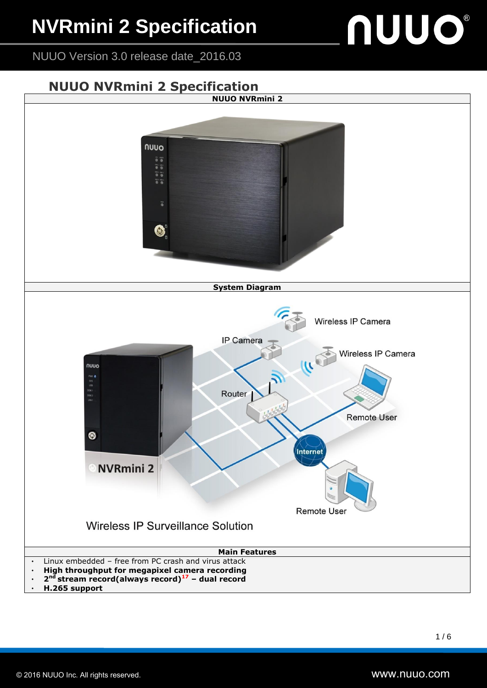### **NVRmini 2 Specification**

# **NUUO®**

NUUO Version 3.0 release date\_2016.03

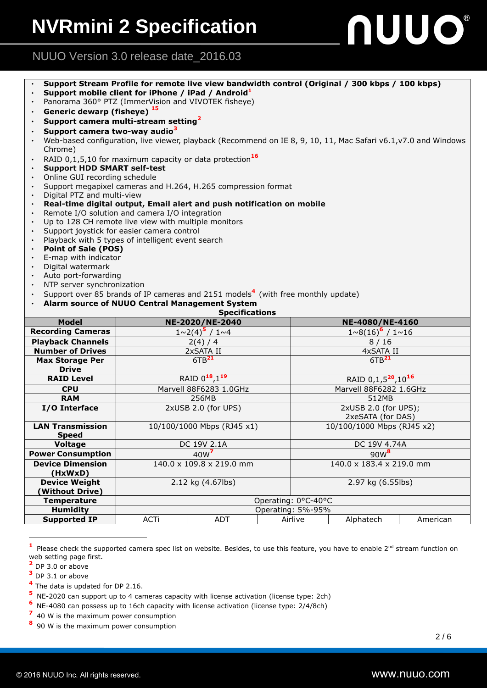## **NUUO®**

#### NUUO Version 3.0 release date\_2016.03

|                                                                                                                 | Support Stream Profile for remote live view bandwidth control (Original / 300 kbps / 100 kbps) |                                            |  |  |  |  |  |  |  |
|-----------------------------------------------------------------------------------------------------------------|------------------------------------------------------------------------------------------------|--------------------------------------------|--|--|--|--|--|--|--|
|                                                                                                                 | Support mobile client for iPhone / iPad / Android <sup>1</sup>                                 |                                            |  |  |  |  |  |  |  |
|                                                                                                                 | Panorama 360° PTZ (ImmerVision and VIVOTEK fisheye)                                            |                                            |  |  |  |  |  |  |  |
|                                                                                                                 | Generic dewarp (fisheye) <sup>15</sup>                                                         |                                            |  |  |  |  |  |  |  |
| Support camera multi-stream setting <sup>2</sup>                                                                |                                                                                                |                                            |  |  |  |  |  |  |  |
|                                                                                                                 | Support camera two-way audio <sup>3</sup>                                                      |                                            |  |  |  |  |  |  |  |
| Web-based configuration, live viewer, playback (Recommend on IE 8, 9, 10, 11, Mac Safari v6.1, v7.0 and Windows |                                                                                                |                                            |  |  |  |  |  |  |  |
|                                                                                                                 | Chrome)                                                                                        |                                            |  |  |  |  |  |  |  |
|                                                                                                                 | RAID $0,1,5,10$ for maximum capacity or data protection <sup>16</sup>                          |                                            |  |  |  |  |  |  |  |
|                                                                                                                 | <b>Support HDD SMART self-test</b>                                                             |                                            |  |  |  |  |  |  |  |
|                                                                                                                 | Online GUI recording schedule                                                                  |                                            |  |  |  |  |  |  |  |
|                                                                                                                 | Support megapixel cameras and H.264, H.265 compression format<br>Digital PTZ and multi-view    |                                            |  |  |  |  |  |  |  |
| Real-time digital output, Email alert and push notification on mobile                                           |                                                                                                |                                            |  |  |  |  |  |  |  |
| Remote I/O solution and camera I/O integration                                                                  |                                                                                                |                                            |  |  |  |  |  |  |  |
| $\bullet$                                                                                                       | Up to 128 CH remote live view with multiple monitors                                           |                                            |  |  |  |  |  |  |  |
| $\bullet$                                                                                                       | Support joystick for easier camera control                                                     |                                            |  |  |  |  |  |  |  |
|                                                                                                                 | Playback with 5 types of intelligent event search                                              |                                            |  |  |  |  |  |  |  |
| <b>Point of Sale (POS)</b>                                                                                      |                                                                                                |                                            |  |  |  |  |  |  |  |
| E-map with indicator<br>$\bullet$                                                                               |                                                                                                |                                            |  |  |  |  |  |  |  |
| Digital watermark                                                                                               |                                                                                                |                                            |  |  |  |  |  |  |  |
| Auto port-forwarding                                                                                            |                                                                                                |                                            |  |  |  |  |  |  |  |
| NTP server synchronization                                                                                      |                                                                                                |                                            |  |  |  |  |  |  |  |
| Support over 85 brands of IP cameras and 2151 models <sup>4</sup> (with free monthly update)                    |                                                                                                |                                            |  |  |  |  |  |  |  |
| Alarm source of NUUO Central Management System<br><b>Specifications</b>                                         |                                                                                                |                                            |  |  |  |  |  |  |  |
| <b>Model</b>                                                                                                    | NE-2020/NE-2040                                                                                | NE-4080/NE-4160                            |  |  |  |  |  |  |  |
| <b>Recording Cameras</b>                                                                                        | $1 \sim 2(4)^5$ / $1 \sim 4$                                                                   | $1 \sim 8(16)^6$ / $1 \sim 16$             |  |  |  |  |  |  |  |
| <b>Playback Channels</b>                                                                                        | 2(4) / 4                                                                                       | 8/16                                       |  |  |  |  |  |  |  |
| <b>Number of Drives</b>                                                                                         | 2xSATA II                                                                                      | 4xSATA II                                  |  |  |  |  |  |  |  |
| <b>Max Storage Per</b>                                                                                          | 6TB <sup>21</sup>                                                                              |                                            |  |  |  |  |  |  |  |
|                                                                                                                 |                                                                                                |                                            |  |  |  |  |  |  |  |
|                                                                                                                 |                                                                                                | 6TB <sup>21</sup>                          |  |  |  |  |  |  |  |
| <b>Drive</b><br><b>RAID Level</b>                                                                               | RAID 0 <sup>18</sup> , 1 <sup>19</sup>                                                         | RAID 0,1,5 <sup>20</sup> ,10 <sup>16</sup> |  |  |  |  |  |  |  |
| <b>CPU</b>                                                                                                      | Marvell 88F6283 1.0GHz                                                                         | Marvell 88F6282 1.6GHz                     |  |  |  |  |  |  |  |
| <b>RAM</b>                                                                                                      | 256MB                                                                                          | 512MB                                      |  |  |  |  |  |  |  |
| I/O Interface                                                                                                   | 2xUSB 2.0 (for UPS)                                                                            | 2xUSB 2.0 (for UPS);                       |  |  |  |  |  |  |  |
|                                                                                                                 |                                                                                                | 2xeSATA (for DAS)                          |  |  |  |  |  |  |  |
| <b>LAN Transmission</b>                                                                                         | 10/100/1000 Mbps (RJ45 x1)                                                                     | 10/100/1000 Mbps (RJ45 x2)                 |  |  |  |  |  |  |  |
| <b>Speed</b>                                                                                                    |                                                                                                |                                            |  |  |  |  |  |  |  |
| <b>Voltage</b>                                                                                                  | DC 19V 2.1A                                                                                    | DC 19V 4.74A                               |  |  |  |  |  |  |  |
| <b>Power Consumption</b>                                                                                        | 40 <sub>W</sub> <sup>7</sup>                                                                   | $90W^8$                                    |  |  |  |  |  |  |  |

2.12 kg (4.67lbs) 2.97 kg (6.55lbs)

**Supported IP** ACTi ADT Airlive Alphatech American

Please check the supported camera spec list on website. Besides, to use this feature, you have to enable  $2^{nd}$  stream function on

web setting page first. **<sup>2</sup>** DP 3.0 or above

**<sup>3</sup>** DP 3.1 or above

 $\overline{a}$ **1** **(HxWxD)**

**Device Weight (Without Drive)**

**4** The data is updated for DP 2.16.

**5** NE-2020 can support up to 4 cameras capacity with license activation (license type: 2ch)

Temperature **Contract of Contract Automobile Contract Operating: 0°C-40°C Humidity** Operating: 5%-95%

**6** NE-4080 can possess up to 16ch capacity with license activation (license type: 2/4/8ch)

**7** 40 W is the maximum power consumption

**8** 90 W is the maximum power consumption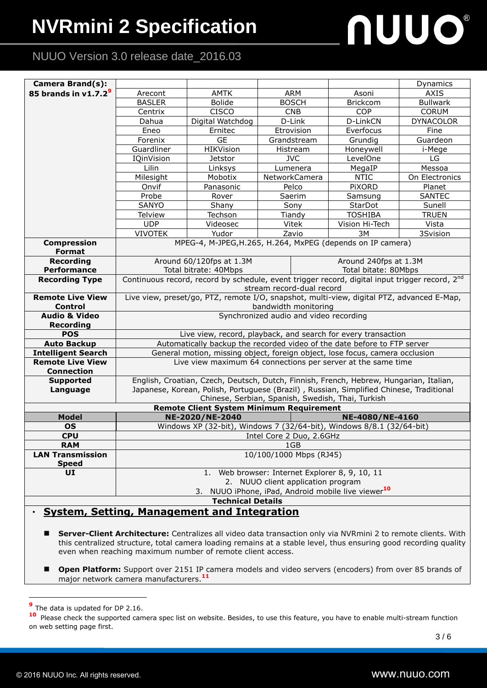### **NVRmini 2 Specification**

# **NUUO®**

#### NUUO Version 3.0 release date\_2016.03

| <b>Camera Brand(s):</b>                                                                              |                                                                                                                             |                                                                          |                      |  |                       | Dynamics         |  |  |  |
|------------------------------------------------------------------------------------------------------|-----------------------------------------------------------------------------------------------------------------------------|--------------------------------------------------------------------------|----------------------|--|-----------------------|------------------|--|--|--|
| 85 brands in $v1.7.29$                                                                               | Arecont                                                                                                                     | <b>AMTK</b>                                                              | <b>ARM</b>           |  | Asoni                 | <b>AXIS</b>      |  |  |  |
|                                                                                                      | <b>BASLER</b>                                                                                                               | <b>Bolide</b>                                                            | <b>BOSCH</b>         |  | Brickcom              | <b>Bullwark</b>  |  |  |  |
|                                                                                                      | Centrix                                                                                                                     | <b>CISCO</b>                                                             | <b>CNB</b>           |  | <b>COP</b>            | <b>CORUM</b>     |  |  |  |
|                                                                                                      | Dahua                                                                                                                       | Digital Watchdog                                                         | D-Link               |  | D-LinkCN              | <b>DYNACOLOR</b> |  |  |  |
|                                                                                                      | Eneo                                                                                                                        | Ernitec                                                                  | Etrovision           |  | Everfocus             | Fine             |  |  |  |
|                                                                                                      | Forenix                                                                                                                     | <b>GE</b>                                                                | Grandstream          |  | Grundig               | Guardeon         |  |  |  |
|                                                                                                      | Guardliner                                                                                                                  | HIKVision                                                                | Histream             |  | Honeywell             | i-Mege           |  |  |  |
|                                                                                                      | IQinVision                                                                                                                  | Jetstor                                                                  | <b>JVC</b>           |  | LevelOne              | LG               |  |  |  |
|                                                                                                      | Lilin                                                                                                                       | Linksys                                                                  | Lumenera             |  | MegaIP                | Messoa           |  |  |  |
|                                                                                                      | Milesight                                                                                                                   | Mobotix                                                                  | NetworkCamera        |  | <b>NTIC</b>           | On Electronics   |  |  |  |
|                                                                                                      | Onvif                                                                                                                       | Panasonic                                                                | Pelco                |  | <b>PIXORD</b>         | Planet           |  |  |  |
|                                                                                                      | Probe                                                                                                                       | Rover                                                                    | Saerim               |  | Samsung               | <b>SANTEC</b>    |  |  |  |
|                                                                                                      | <b>SANYO</b>                                                                                                                | Shany                                                                    | Sony                 |  | StarDot               | Sunell           |  |  |  |
|                                                                                                      | <b>Telview</b>                                                                                                              | Techson                                                                  | Tiandy               |  | <b>TOSHIBA</b>        | <b>TRUEN</b>     |  |  |  |
|                                                                                                      | <b>UDP</b>                                                                                                                  | Videosec                                                                 | Vitek                |  | Vision Hi-Tech        | Vista            |  |  |  |
|                                                                                                      | <b>VIVOTEK</b>                                                                                                              | Yudor                                                                    | Zavio                |  | 3M                    | 3Svision         |  |  |  |
| <b>Compression</b>                                                                                   | MPEG-4, M-JPEG, H.265, H.264, MxPEG (depends on IP camera)                                                                  |                                                                          |                      |  |                       |                  |  |  |  |
| Format                                                                                               |                                                                                                                             |                                                                          |                      |  |                       |                  |  |  |  |
| <b>Recording</b>                                                                                     |                                                                                                                             | Around 60/120fps at 1.3M                                                 |                      |  | Around 240fps at 1.3M |                  |  |  |  |
| <b>Performance</b>                                                                                   |                                                                                                                             | Total bitrate: 40Mbps                                                    | Total bitate: 80Mbps |  |                       |                  |  |  |  |
| <b>Recording Type</b>                                                                                | Continuous record, record by schedule, event trigger record, digital input trigger record, 2nd<br>stream record-dual record |                                                                          |                      |  |                       |                  |  |  |  |
| <b>Remote Live View</b>                                                                              | Live view, preset/go, PTZ, remote I/O, snapshot, multi-view, digital PTZ, advanced E-Map,                                   |                                                                          |                      |  |                       |                  |  |  |  |
| <b>Control</b>                                                                                       | bandwidth monitoring                                                                                                        |                                                                          |                      |  |                       |                  |  |  |  |
| <b>Audio &amp; Video</b>                                                                             | Synchronized audio and video recording                                                                                      |                                                                          |                      |  |                       |                  |  |  |  |
| <b>Recording</b>                                                                                     |                                                                                                                             |                                                                          |                      |  |                       |                  |  |  |  |
| <b>POS</b>                                                                                           |                                                                                                                             | Live view, record, playback, and search for every transaction            |                      |  |                       |                  |  |  |  |
| <b>Auto Backup</b>                                                                                   |                                                                                                                             | Automatically backup the recorded video of the date before to FTP server |                      |  |                       |                  |  |  |  |
| <b>Intelligent Search</b>                                                                            | General motion, missing object, foreign object, lose focus, camera occlusion                                                |                                                                          |                      |  |                       |                  |  |  |  |
| <b>Remote Live View</b>                                                                              | Live view maximum 64 connections per server at the same time                                                                |                                                                          |                      |  |                       |                  |  |  |  |
| <b>Connection</b>                                                                                    |                                                                                                                             |                                                                          |                      |  |                       |                  |  |  |  |
| <b>Supported</b>                                                                                     | English, Croatian, Czech, Deutsch, Dutch, Finnish, French, Hebrew, Hungarian, Italian,                                      |                                                                          |                      |  |                       |                  |  |  |  |
| Language                                                                                             | Japanese, Korean, Polish, Portuguese (Brazil), Russian, Simplified Chinese, Traditional                                     |                                                                          |                      |  |                       |                  |  |  |  |
| Chinese, Serbian, Spanish, Swedish, Thai, Turkish<br><b>Remote Client System Minimum Requirement</b> |                                                                                                                             |                                                                          |                      |  |                       |                  |  |  |  |
| <b>Model</b>                                                                                         |                                                                                                                             | NE-2020/NE-2040                                                          |                      |  | NE-4080/NE-4160       |                  |  |  |  |
| <b>OS</b>                                                                                            | Windows XP (32-bit), Windows 7 (32/64-bit), Windows 8/8.1 (32/64-bit)                                                       |                                                                          |                      |  |                       |                  |  |  |  |
| <b>CPU</b>                                                                                           | Intel Core 2 Duo, 2.6GHz                                                                                                    |                                                                          |                      |  |                       |                  |  |  |  |
| <b>RAM</b>                                                                                           | 1GB                                                                                                                         |                                                                          |                      |  |                       |                  |  |  |  |
| <b>LAN Transmission</b><br><b>Speed</b>                                                              | 10/100/1000 Mbps (RJ45)                                                                                                     |                                                                          |                      |  |                       |                  |  |  |  |
| UI                                                                                                   | Web browser: Internet Explorer 8, 9, 10, 11<br>1.                                                                           |                                                                          |                      |  |                       |                  |  |  |  |
|                                                                                                      | 2. NUUO client application program                                                                                          |                                                                          |                      |  |                       |                  |  |  |  |
| 3. NUUO iPhone, iPad, Android mobile live viewer <sup>10</sup>                                       |                                                                                                                             |                                                                          |                      |  |                       |                  |  |  |  |
| <b>Technical Details</b>                                                                             |                                                                                                                             |                                                                          |                      |  |                       |                  |  |  |  |
|                                                                                                      |                                                                                                                             |                                                                          |                      |  |                       |                  |  |  |  |

#### ‧ **System, Setting, Management and Integration**

- **Server-Client Architecture:** Centralizes all video data transaction only via NVRmini 2 to remote clients. With this centralized structure, total camera loading remains at a stable level, thus ensuring good recording quality even when reaching maximum number of remote client access.
- **Dpen Platform:** Support over 2151 IP camera models and video servers (encoders) from over 85 brands of major network camera manufacturers. **11**

 $\overline{a}$ 

**<sup>9</sup>** The data is updated for DP 2.16.

**<sup>10</sup>** Please check the supported camera spec list on website. Besides, to use this feature, you have to enable multi-stream function on web setting page first.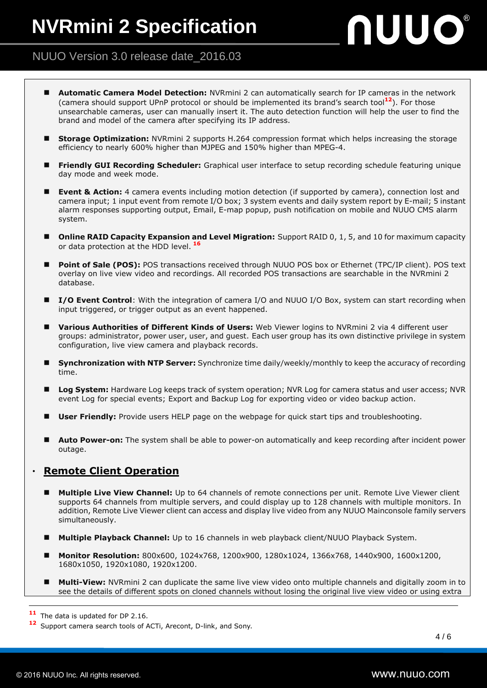## nuuo®

#### NUUO Version 3.0 release date\_2016.03

- **Automatic Camera Model Detection:** NVRmini 2 can automatically search for IP cameras in the network (camera should support UPnP protocol or should be implemented its brand's search tool**12**). For those unsearchable cameras, user can manually insert it. The auto detection function will help the user to find the brand and model of the camera after specifying its IP address.
- **Storage Optimization:** NVRmini 2 supports H.264 compression format which helps increasing the storage efficiency to nearly 600% higher than MJPEG and 150% higher than MPEG-4.
- **Friendly GUI Recording Scheduler:** Graphical user interface to setup recording schedule featuring unique day mode and week mode.
- **Event & Action:** 4 camera events including motion detection (if supported by camera), connection lost and camera input; 1 input event from remote I/O box; 3 system events and daily system report by E-mail; 5 instant alarm responses supporting output, Email, E-map popup, push notification on mobile and NUUO CMS alarm system.
- **Online RAID Capacity Expansion and Level Migration:** Support RAID 0, 1, 5, and 10 for maximum capacity or data protection at the HDD level. **<sup>16</sup>**
- **Point of Sale (POS):** POS transactions received through NUUO POS box or Ethernet (TPC/IP client). POS text overlay on live view video and recordings. All recorded POS transactions are searchable in the NVRmini 2 database.
- **I/O Event Control**: With the integration of camera I/O and NUUO I/O Box, system can start recording when input triggered, or trigger output as an event happened.
- **Various Authorities of Different Kinds of Users:** Web Viewer logins to NVRmini 2 via 4 different user groups: administrator, power user, user, and guest. Each user group has its own distinctive privilege in system configuration, live view camera and playback records.
- **Synchronization with NTP Server:** Synchronize time daily/weekly/monthly to keep the accuracy of recording time.
- **Log System:** Hardware Log keeps track of system operation; NVR Log for camera status and user access; NVR event Log for special events; Export and Backup Log for exporting video or video backup action.
- **User Friendly:** Provide users HELP page on the webpage for quick start tips and troubleshooting.
- **Auto Power-on:** The system shall be able to power-on automatically and keep recording after incident power outage.

#### **Remote Client Operation**

- **Multiple Live View Channel:** Up to 64 channels of remote connections per unit. Remote Live Viewer client supports 64 channels from multiple servers, and could display up to 128 channels with multiple monitors. In addition, Remote Live Viewer client can access and display live video from any NUUO Mainconsole family servers simultaneously.
- **Multiple Playback Channel:** Up to 16 channels in web playback client/NUUO Playback System.
- **Monitor Resolution:** 800x600, 1024x768, 1200x900, 1280x1024, 1366x768, 1440x900, 1600x1200, 1680x1050, 1920x1080, 1920x1200.
- **Multi-View:** NVRmini 2 can duplicate the same live view video onto multiple channels and digitally zoom in to see the details of different spots on cloned channels without losing the original live view video or using extra

 $\overline{a}$ 

**<sup>11</sup>** The data is updated for DP 2.16.

**<sup>12</sup>** Support camera search tools of ACTi, Arecont, D-link, and Sony.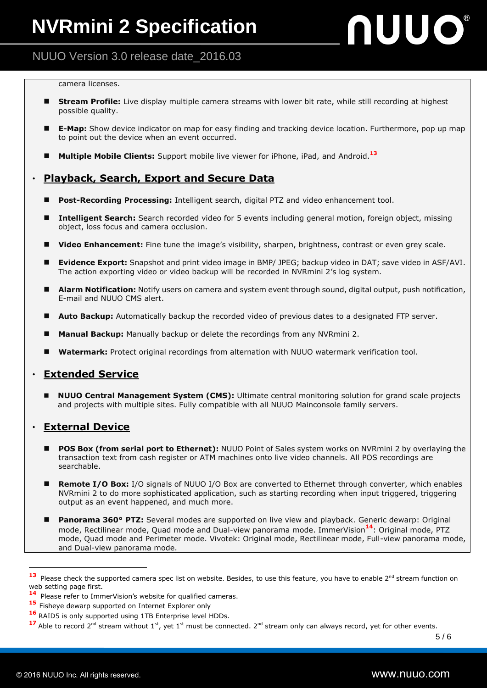## **NUUO®**

#### NUUO Version 3.0 release date\_2016.03

#### camera licenses.

- **Stream Profile:** Live display multiple camera streams with lower bit rate, while still recording at highest possible quality.
- **E-Map:** Show device indicator on map for easy finding and tracking device location. Furthermore, pop up map to point out the device when an event occurred.
- **Multiple Mobile Clients:** Support mobile live viewer for iPhone, iPad, and Android.**<sup>13</sup>**

#### ‧ **Playback, Search, Export and Secure Data**

- **Post-Recording Processing:** Intelligent search, digital PTZ and video enhancement tool.
- **Intelligent Search:** Search recorded video for 5 events including general motion, foreign object, missing object, loss focus and camera occlusion.
- **Video Enhancement:** Fine tune the image's visibility, sharpen, brightness, contrast or even grey scale.
- **Evidence Export:** Snapshot and print video image in BMP/ JPEG; backup video in DAT; save video in ASF/AVI. The action exporting video or video backup will be recorded in NVRmini 2's log system.
- **Alarm Notification:** Notify users on camera and system event through sound, digital output, push notification, E-mail and NUUO CMS alert.
- **Auto Backup:** Automatically backup the recorded video of previous dates to a designated FTP server.
- **Manual Backup:** Manually backup or delete the recordings from any NVRmini 2.
- **Watermark:** Protect original recordings from alternation with NUUO watermark verification tool.

#### **Extended Service**

 **NUUO Central Management System (CMS):** Ultimate central monitoring solution for grand scale projects and projects with multiple sites. Fully compatible with all NUUO Mainconsole family servers.

#### ‧ **External Device**

- **POS Box (from serial port to Ethernet):** NUUO Point of Sales system works on NVRmini 2 by overlaying the transaction text from cash register or ATM machines onto live video channels. All POS recordings are searchable.
- Remote I/O Box: I/O signals of NUUO I/O Box are converted to Ethernet through converter, which enables NVRmini 2 to do more sophisticated application, such as starting recording when input triggered, triggering output as an event happened, and much more.
- **Panorama 360° PTZ:** Several modes are supported on live view and playback. Generic dewarp: Original mode, Rectilinear mode, Quad mode and Dual-view panorama mode. ImmerVision**14**: Original mode, PTZ mode, Quad mode and Perimeter mode. Vivotek: Original mode, Rectilinear mode, Full-view panorama mode, and Dual-view panorama mode.

 $\overline{a}$ 

<sup>13</sup> Please check the supported camera spec list on website. Besides, to use this feature, you have to enable 2<sup>nd</sup> stream function on web setting page first.

**<sup>14</sup>** Please refer to ImmerVision's website for qualified cameras.

<sup>15</sup> Fisheve dewarp supported on Internet Explorer only

**<sup>16</sup>** RAID5 is only supported using 1TB Enterprise level HDDs.

<sup>17</sup> Able to record 2<sup>nd</sup> stream without 1<sup>st</sup>, yet 1<sup>st</sup> must be connected. 2<sup>nd</sup> stream only can always record, yet for other events.